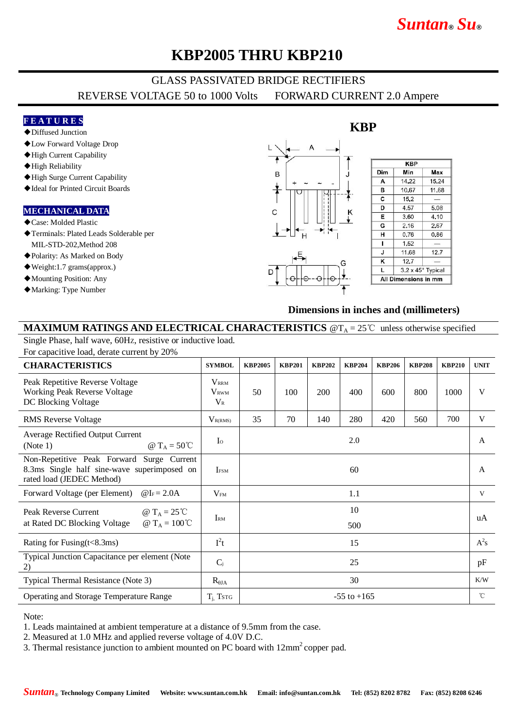# *Suntan***®** *Su***®**

# **KBP2005 THRU KBP210**

# GLASS PASSIVATED BRIDGE RECTIFIERS

REVERSE VOLTAGE 50 to 1000 Volts FORWARD CURRENT 2.0 Ampere

### **F E A T U R E S**

#### ◆Diffused Junction

- ◆Low Forward Voltage Drop
- ◆High Current Capability
- ◆High Reliability
- ◆High Surge Current Capability
- ◆Ideal for Printed Circuit Boards

#### **MECHANICAL DATA**

- ◆Case: Molded Plastic
- ◆Terminals: Plated Leads Solderable per MIL-STD-202,Method 208
- ◆Polarity: As Marked on Body
- ◆Weight:1.7 grams(approx.)
- ◆Mounting Position: Any
- ◆Marking: Type Number



### **Dimensions in inches and (millimeters)**

### **MAXIMUM RATINGS AND ELECTRICAL CHARACTERISTICS**  $@T_A = 25^\circ\text{C}$  unless otherwise specified

Single Phase, half wave, 60HZ, resistive or inductive load. For capacitive load, derate current by 20%

| <b>CHARACTERISTICS</b>                                                                                                | <b>SYMBOL</b>                                     | <b>KBP2005</b>  | <b>KBP201</b> | <b>KBP202</b> | <b>KBP204</b> | <b>KBP206</b> | <b>KBP208</b> | <b>KBP210</b> | <b>UNIT</b>  |
|-----------------------------------------------------------------------------------------------------------------------|---------------------------------------------------|-----------------|---------------|---------------|---------------|---------------|---------------|---------------|--------------|
| Peak Repetitive Reverse Voltage<br><b>Working Peak Reverse Voltage</b><br>DC Blocking Voltage                         | <b>VRRM</b><br><b>V</b> <sub>RWM</sub><br>$V_{R}$ | 50              | 100           | 200           | 400           | 600           | 800           | 1000          | V            |
| <b>RMS</b> Reverse Voltage                                                                                            | $V_{R(RMS)}$                                      | 35              | 70            | 140           | 280           | 420           | 560           | 700           | V            |
| Average Rectified Output Current<br>@ $T_A = 50^{\circ}C$<br>(Note 1)                                                 | $\mathbf{I}^{\circ}$                              | 2.0             |               |               |               |               |               |               | $\mathsf{A}$ |
| Non-Repetitive Peak Forward Surge Current<br>8.3ms Single half sine-wave superimposed on<br>rated load (JEDEC Method) | <b>IFSM</b>                                       | 60              |               |               |               |               |               |               | $\mathsf{A}$ |
| Forward Voltage (per Element) $@I_F = 2.0A$                                                                           | $V_{FM}$                                          | 1.1             |               |               |               |               |               |               | V            |
| @ $T_A = 25^{\circ}C$<br>Peak Reverse Current<br>@ T <sub>A</sub> = 100 ℃<br>at Rated DC Blocking Voltage             | IRM                                               | 10<br>500       |               |               |               |               |               |               | uA           |
| Rating for Fusing $(t<8.3ms)$                                                                                         | $I^2t$                                            | 15              |               |               |               |               |               |               | $A^2s$       |
| Typical Junction Capacitance per element (Note<br>2)                                                                  | $C_i$                                             | 25              |               |               |               |               |               |               | pF           |
| Typical Thermal Resistance (Note 3)                                                                                   | $R_{\theta JA}$                                   | 30              |               |               |               |               |               |               | K/W          |
| Operating and Storage Temperature Range                                                                               | $T_i$ Tstg                                        | $-55$ to $+165$ |               |               |               |               |               |               | $^{\circ}$ C |

#### Note:

1. Leads maintained at ambient temperature at a distance of 9.5mm from the case.

2. Measured at 1.0 MHz and applied reverse voltage of 4.0V D.C.

3. Thermal resistance junction to ambient mounted on PC board with  $12mm^2$  copper pad.